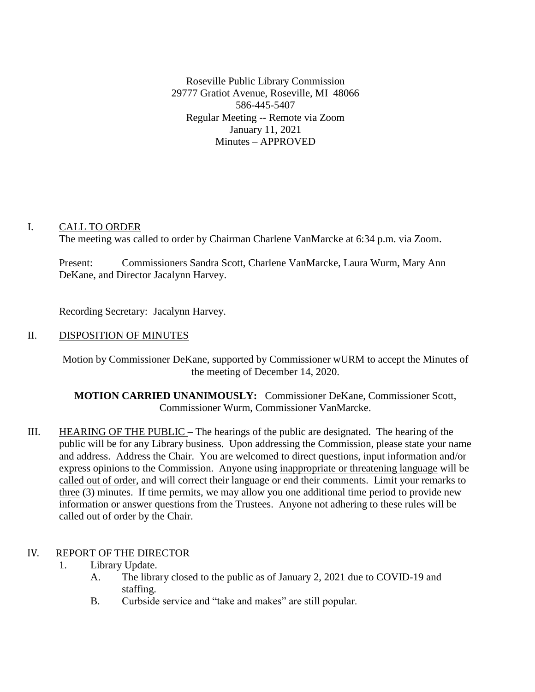Roseville Public Library Commission 29777 Gratiot Avenue, Roseville, MI 48066 586-445-5407 Regular Meeting -- Remote via Zoom January 11, 2021 Minutes – APPROVED

# I. CALL TO ORDER

The meeting was called to order by Chairman Charlene VanMarcke at 6:34 p.m. via Zoom.

Present: Commissioners Sandra Scott, Charlene VanMarcke, Laura Wurm, Mary Ann DeKane, and Director Jacalynn Harvey.

Recording Secretary: Jacalynn Harvey.

## II. DISPOSITION OF MINUTES

Motion by Commissioner DeKane, supported by Commissioner wURM to accept the Minutes of the meeting of December 14, 2020.

**MOTION CARRIED UNANIMOUSLY:** Commissioner DeKane, Commissioner Scott, Commissioner Wurm, Commissioner VanMarcke.

III. HEARING OF THE PUBLIC – The hearings of the public are designated. The hearing of the public will be for any Library business. Upon addressing the Commission, please state your name and address. Address the Chair. You are welcomed to direct questions, input information and/or express opinions to the Commission. Anyone using inappropriate or threatening language will be called out of order, and will correct their language or end their comments. Limit your remarks to three (3) minutes. If time permits, we may allow you one additional time period to provide new information or answer questions from the Trustees. Anyone not adhering to these rules will be called out of order by the Chair.

# IV. REPORT OF THE DIRECTOR

- 1. Library Update.
	- A. The library closed to the public as of January 2, 2021 due to COVID-19 and staffing.
	- B. Curbside service and "take and makes" are still popular.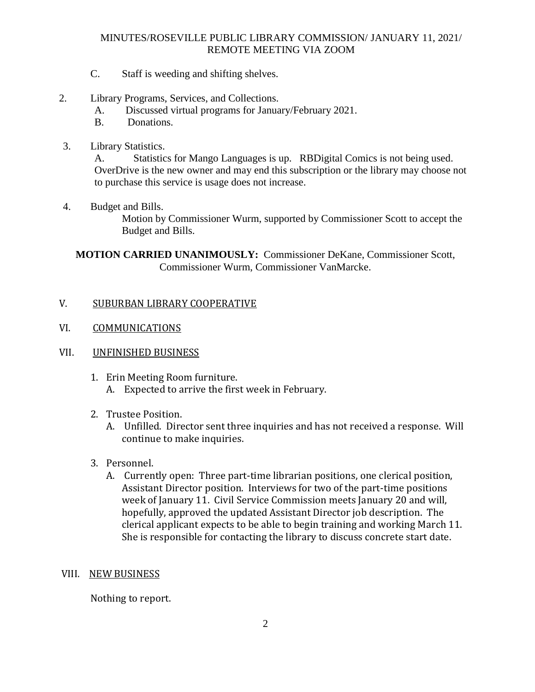## MINUTES/ROSEVILLE PUBLIC LIBRARY COMMISSION/ JANUARY 11, 2021/ REMOTE MEETING VIA ZOOM

- C. Staff is weeding and shifting shelves.
- 2. Library Programs, Services, and Collections.
	- A. Discussed virtual programs for January/February 2021.
	- B. Donations.
- 3. Library Statistics.

A. Statistics for Mango Languages is up. RBDigital Comics is not being used. OverDrive is the new owner and may end this subscription or the library may choose not to purchase this service is usage does not increase.

4. Budget and Bills.

Motion by Commissioner Wurm, supported by Commissioner Scott to accept the Budget and Bills.

**MOTION CARRIED UNANIMOUSLY:** Commissioner DeKane, Commissioner Scott, Commissioner Wurm, Commissioner VanMarcke.

#### V. SUBURBAN LIBRARY COOPERATIVE

- VI. COMMUNICATIONS
- VII. UNFINISHED BUSINESS
	- 1. Erin Meeting Room furniture.
		- A. Expected to arrive the first week in February.
	- 2. Trustee Position.
		- A. Unfilled. Director sent three inquiries and has not received a response. Will continue to make inquiries.
	- 3. Personnel.
		- A. Currently open: Three part-time librarian positions, one clerical position, Assistant Director position. Interviews for two of the part-time positions week of January 11. Civil Service Commission meets January 20 and will, hopefully, approved the updated Assistant Director job description. The clerical applicant expects to be able to begin training and working March 11. She is responsible for contacting the library to discuss concrete start date.

#### VIII. NEW BUSINESS

Nothing to report.